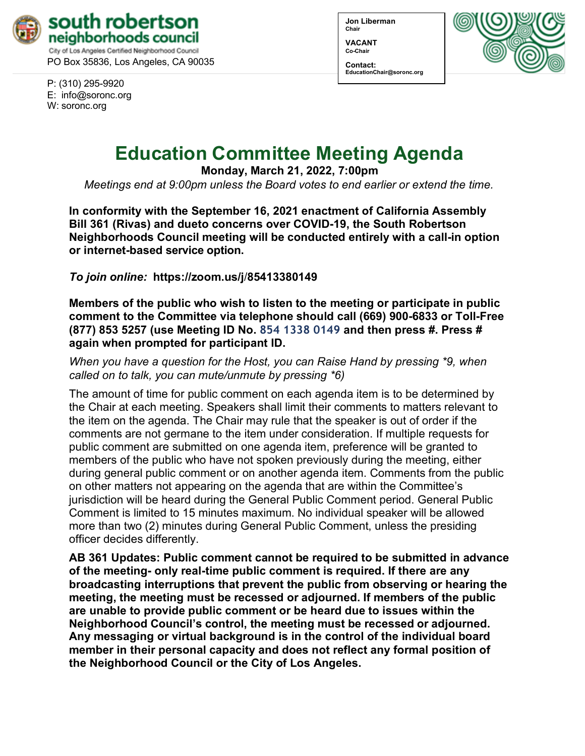

PO Box 35836, Los Angeles, CA 90035

P: (310) 295-9920 E: [info@soronc.org](mailto:info@soronc.org) W: soronc.org

**Jon Liberman Chair**

**VACANT Co-Chair**

**Contact: [EducationChair@soronc.org](mailto:EducationChair@soronc.org)**



# **Education Committee Meeting Agenda**

**Monday, March 21, 2022, 7:00pm**

*Meetings end at 9:00pm unless the Board votes to end earlier or extend the time.*

**In conformity with the September 16, 2021 enactment of California Assembly Bill 361 (Rivas) and dueto concerns over COVID-19, the South Robertson Neighborhoods Council meeting will be conducted entirely with a call-in option or internet-based service option.**

*To join online:* **[https://zoom.us/j](https://zoom.us/j/85413380149)**/**85413380149**

**Members of the public who wish to listen to the meeting or participate in public comment to the Committee via telephone should call (669) 900-6833 or Toll-Free (877) 853 5257 (use Meeting ID No. 854 1338 0149 and then press #. Press # again when prompted for participant ID.**

*When you have a question for the Host, you can Raise Hand by pressing \*9, when called on to talk, you can mute/unmute by pressing \*6)*

The amount of time for public comment on each agenda item is to be determined by the Chair at each meeting. Speakers shall limit their comments to matters relevant to the item on the agenda. The Chair may rule that the speaker is out of order if the comments are not germane to the item under consideration. If multiple requests for public comment are submitted on one agenda item, preference will be granted to members of the public who have not spoken previously during the meeting, either during general public comment or on another agenda item. Comments from the public on other matters not appearing on the agenda that are within the Committee's jurisdiction will be heard during the General Public Comment period. General Public Comment is limited to 15 minutes maximum. No individual speaker will be allowed more than two (2) minutes during General Public Comment, unless the presiding officer decides differently.

**AB 361 Updates: Public comment cannot be required to be submitted in advance of the meeting- only real-time public comment is required. If there are any broadcasting interruptions that prevent the public from observing or hearing the meeting, the meeting must be recessed or adjourned. If members of the public are unable to provide public comment or be heard due to issues within the Neighborhood Council's control, the meeting must be recessed or adjourned. Any messaging or virtual background is in the control of the individual board member in their personal capacity and does not reflect any formal position of the Neighborhood Council or the City of Los Angeles.**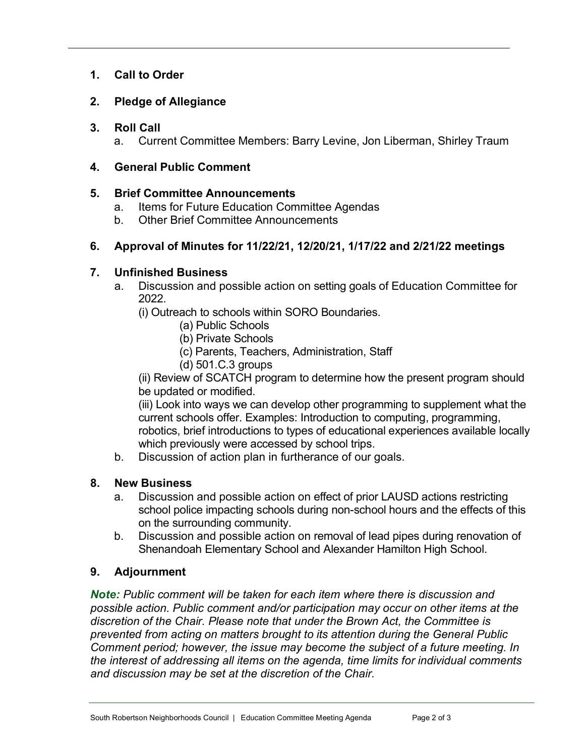# **1. Call to Order**

# **2. Pledge of Allegiance**

#### **3. Roll Call**

a. Current Committee Members: Barry Levine, Jon Liberman, Shirley Traum

### **4. General Public Comment**

#### **5. Brief Committee Announcements**

- a. Items for Future Education Committee Agendas
- b. Other Brief Committee Announcements

# **6. Approval of Minutes for 11/22/21, 12/20/21, 1/17/22 and 2/21/22 meetings**

### **7. Unfinished Business**

a. Discussion and possible action on setting goals of Education Committee for 2022.

(i) Outreach to schools within SORO Boundaries.

- (a) Public Schools
- (b) Private Schools
- (c) Parents, Teachers, Administration, Staff
- (d) 501.C.3 groups

(ii) Review of SCATCH program to determine how the present program should be updated or modified.

(iii) Look into ways we can develop other programming to supplement what the current schools offer. Examples: Introduction to computing, programming, robotics, brief introductions to types of educational experiences available locally which previously were accessed by school trips.

b. Discussion of action plan in furtherance of our goals.

# **8. New Business**

- a. Discussion and possible action on effect of prior LAUSD actions restricting school police impacting schools during non-school hours and the effects of this on the surrounding community.
- b. Discussion and possible action on removal of lead pipes during renovation of Shenandoah Elementary School and Alexander Hamilton High School.

# **9. Adjournment**

*Note: Public comment will be taken for each item where there is discussion and possible action. Public comment and/or participation may occur on other items at the discretion of the Chair. Please note that under the Brown Act, the Committee is prevented from acting on matters brought to its attention during the General Public Comment period; however, the issue may become the subject of a future meeting. In the interest of addressing all items on the agenda, time limits for individual comments and discussion may be set at the discretion of the Chair.*